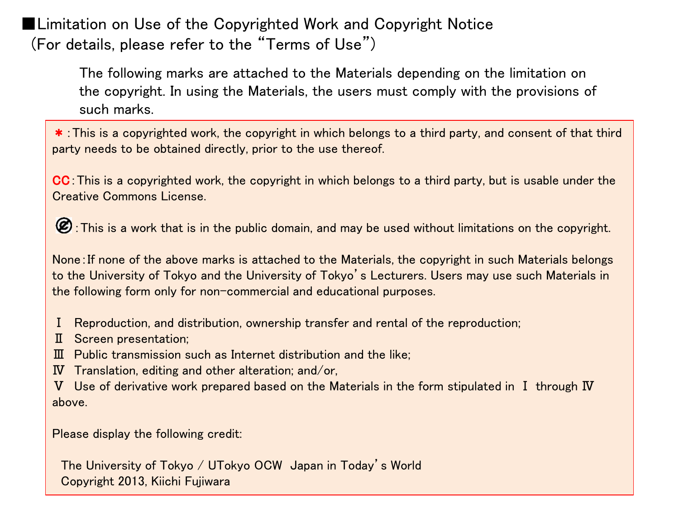■Limitation on Use of the Copyrighted Work and Copyright Notice (For details, please refer to the "Terms of Use")

> The following marks are attached to the Materials depending on the limitation on the copyright. In using the Materials, the users must comply with the provisions of such marks.

\*:This is a copyrighted work, the copyright in which belongs to a third party, and consent of that third party needs to be obtained directly, prior to the use thereof.

CC:This is a copyrighted work, the copyright in which belongs to a third party, but is usable under the Creative Commons License.

:This is a work that is in the public domain, and may be used without limitations on the copyright.

None:If none of the above marks is attached to the Materials, the copyright in such Materials belongs to the University of Tokyo and the University of Tokyo's Lecturers. Users may use such Materials in the following form only for non-commercial and educational purposes.

- Ⅰ Reproduction, and distribution, ownership transfer and rental of the reproduction;
- Ⅱ Screen presentation;
- Ⅲ Public transmission such as Internet distribution and the like;
- Ⅳ Translation, editing and other alteration; and/or,
- Ⅴ Use of derivative work prepared based on the Materials in the form stipulated in Ⅰ through Ⅳ above.

Please display the following credit:

The University of Tokyo / UTokyo OCW Japan in Today's World Copyright 2013, Kiichi Fujiwara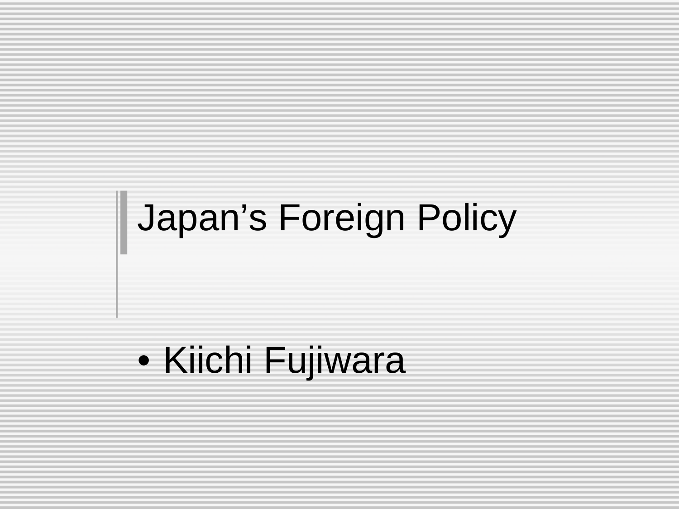# || Japan's Foreign Policy

#### • Kiichi Fujiwara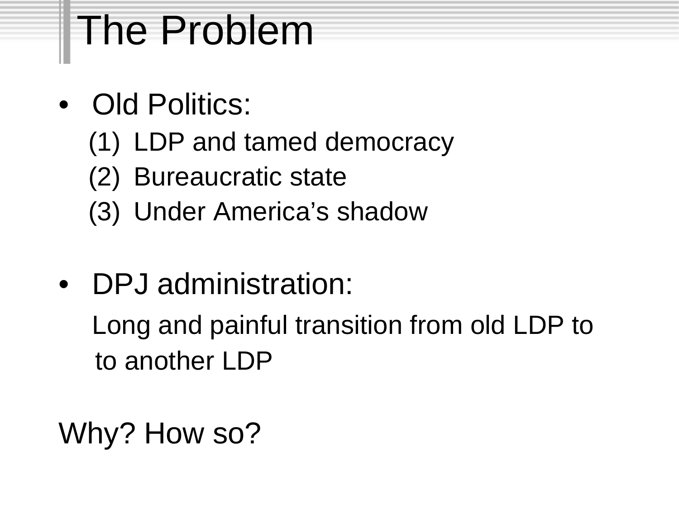## The Problem

- Old Politics:
	- (1) LDP and tamed democracy
	- (2) Bureaucratic state
	- (3) Under America's shadow
- DPJ administration: Long and painful transition from old LDP to to another LDP
- Why? How so?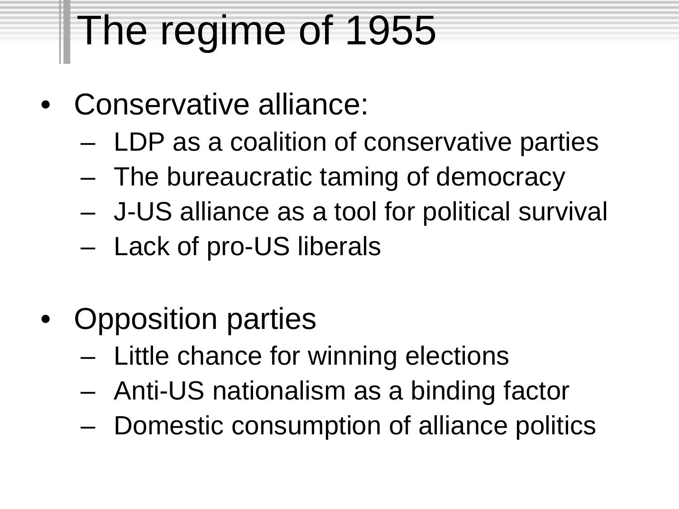## The regime of 1955

- Conservative alliance:
	- LDP as a coalition of conservative parties
	- The bureaucratic taming of democracy
	- J-US alliance as a tool for political survival
	- Lack of pro-US liberals
- Opposition parties
	- Little chance for winning elections
	- Anti-US nationalism as a binding factor
	- Domestic consumption of alliance politics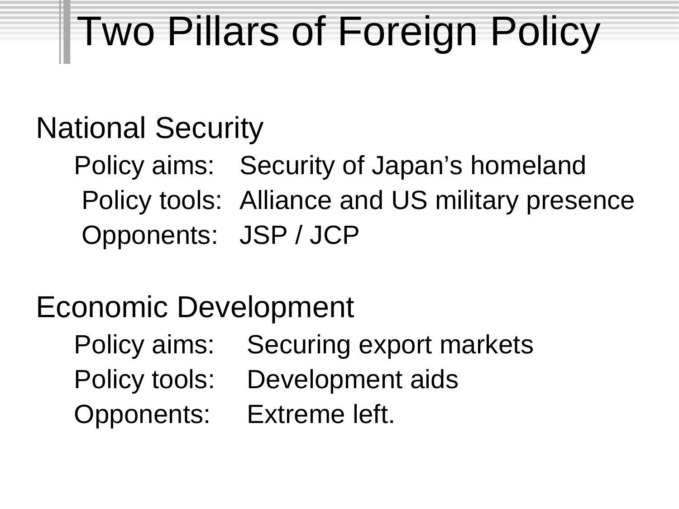# Two Pillars of Foreign Policy

#### National Security

Policy aims: Security of Japan's homeland Policy tools: Alliance and US military presence Opponents: JSP / JCP

#### Economic Development

- Policy aims: Securing export markets
- Policy tools: Development aids
- Opponents: Extreme left.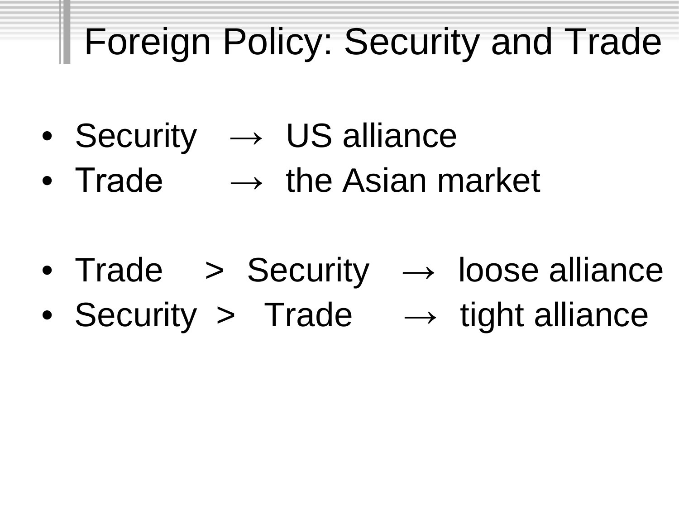## **Foreign Policy: Security and Trade**

- Security  $\rightarrow$  US alliance
- Trade  $\rightarrow$  the Asian market

- Trade > Security  $\rightarrow$  loose alliance
- Security > Trade  $\rightarrow$  tight alliance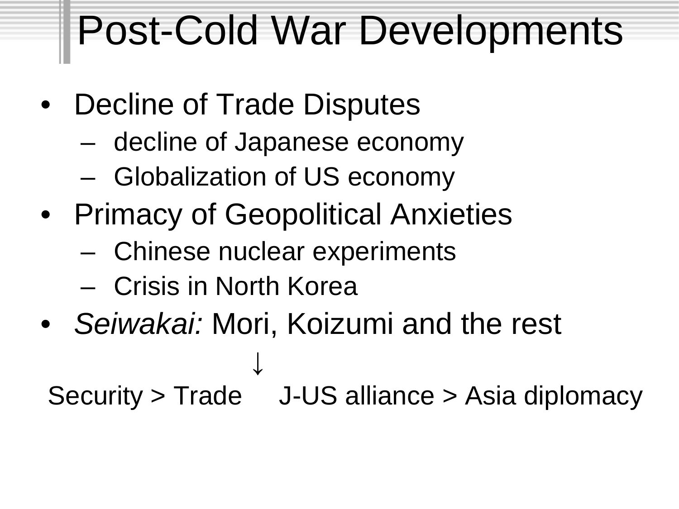#### Post-Cold War Developments

- Decline of Trade Disputes
	- decline of Japanese economy
	- Globalization of US economy
- Primacy of Geopolitical Anxieties
	- Chinese nuclear experiments
	- Crisis in North Korea
- *Seiwakai:* Mori, Koizumi and the rest ↓ Security > Trade J-US alliance > Asia diplomacy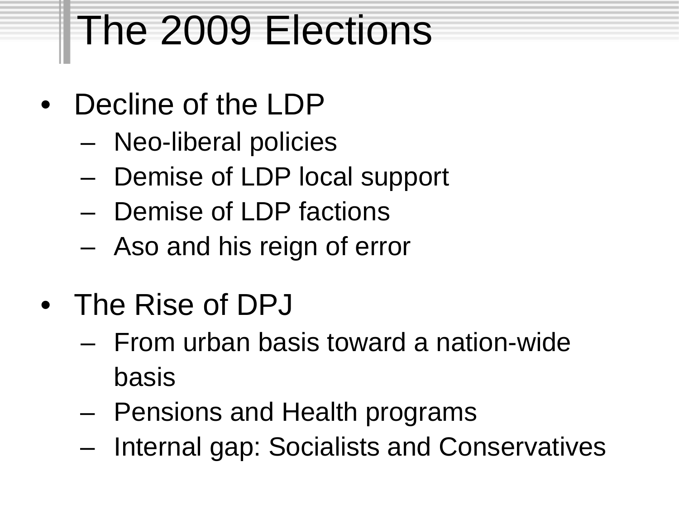## The 2009 Elections

- Decline of the LDP
	- Neo-liberal policies
	- Demise of LDP local support
	- Demise of LDP factions
	- Aso and his reign of error
- The Rise of DPJ
	- From urban basis toward a nation-wide basis
	- Pensions and Health programs
	- Internal gap: Socialists and Conservatives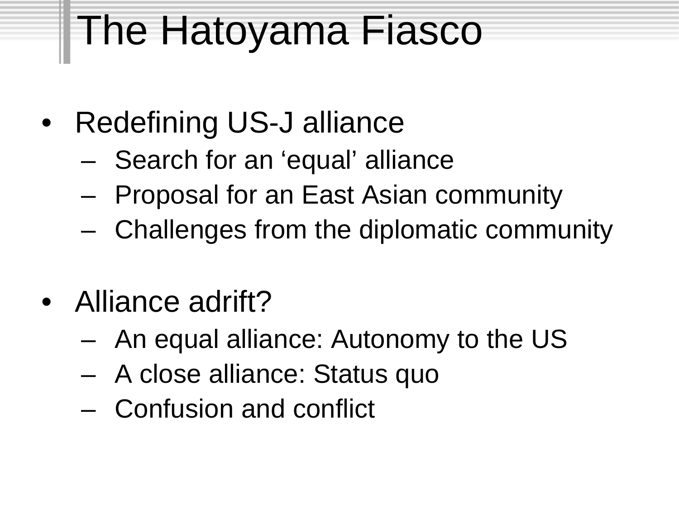## The Hatoyama Fiasco

- Redefining US-J alliance
	- Search for an 'equal' alliance
	- Proposal for an East Asian community
	- Challenges from the diplomatic community
- Alliance adrift?
	- An equal alliance: Autonomy to the US
	- A close alliance: Status quo
	- Confusion and conflict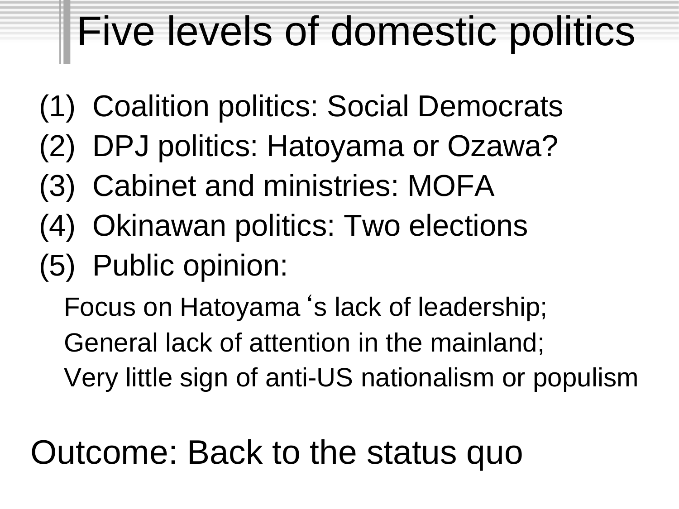## Five levels of domestic politics

- (1) Coalition politics: Social Democrats
- (2) DPJ politics: Hatoyama or Ozawa?
- (3) Cabinet and ministries: MOFA
- (4) Okinawan politics: Two elections
- (5) Public opinion:

Focus on Hatoyama's lack of leadership; General lack of attention in the mainland; Very little sign of anti-US nationalism or populism

#### Outcome: Back to the status quo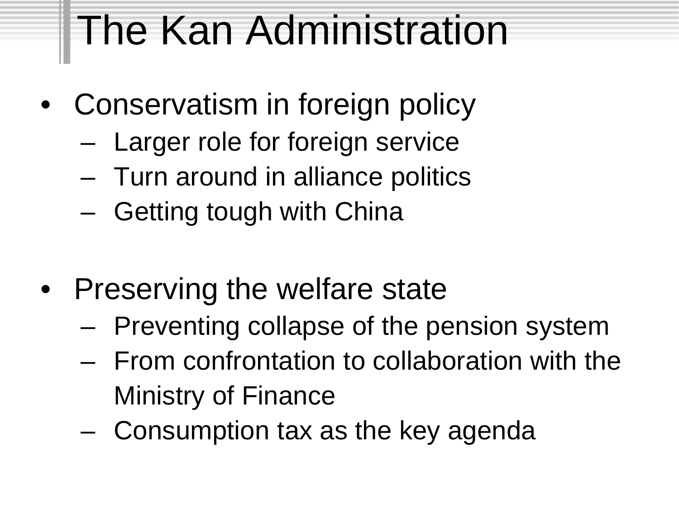## The Kan Administration

- Conservatism in foreign policy
	- Larger role for foreign service
	- Turn around in alliance politics
	- Getting tough with China
- Preserving the welfare state
	- Preventing collapse of the pension system
	- From confrontation to collaboration with the Ministry of Finance
	- Consumption tax as the key agenda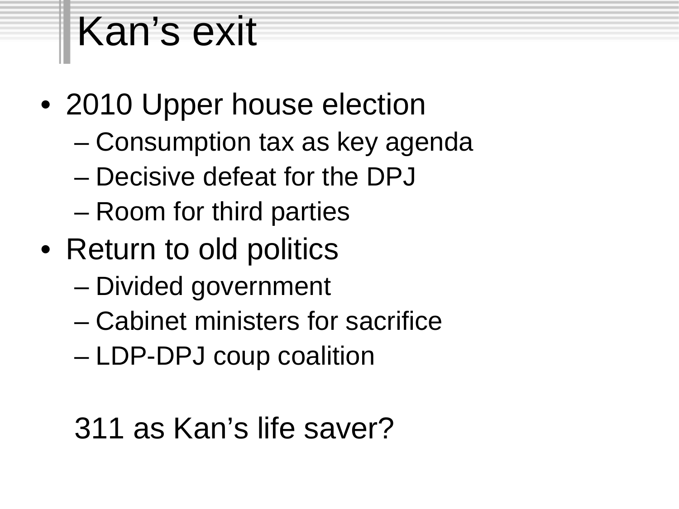# Kan's exit

- 2010 Upper house election
	- Consumption tax as key agenda
	- Decisive defeat for the DPJ
	- Room for third parties
- Return to old politics
	- Divided government
	- Cabinet ministers for sacrifice
	- LDP-DPJ coup coalition

#### 311 as Kan's life saver?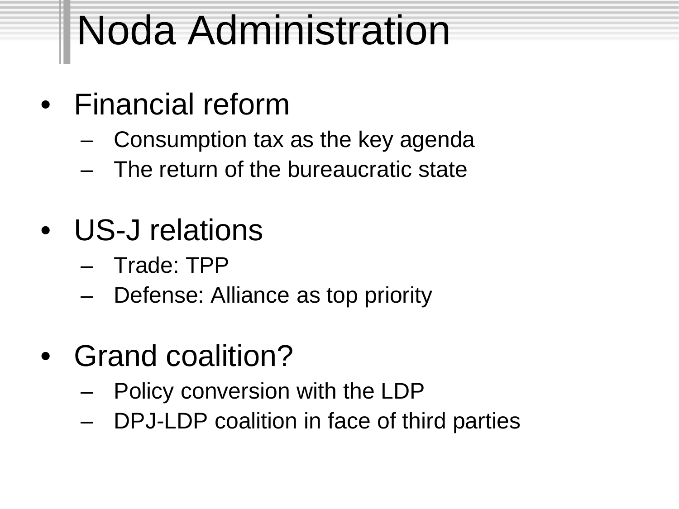# Noda Administration

- Financial reform
	- Consumption tax as the key agenda
	- The return of the bureaucratic state
- US-J relations
	- Trade: TPP
	- Defense: Alliance as top priority
- Grand coalition?
	- Policy conversion with the LDP
	- DPJ-LDP coalition in face of third parties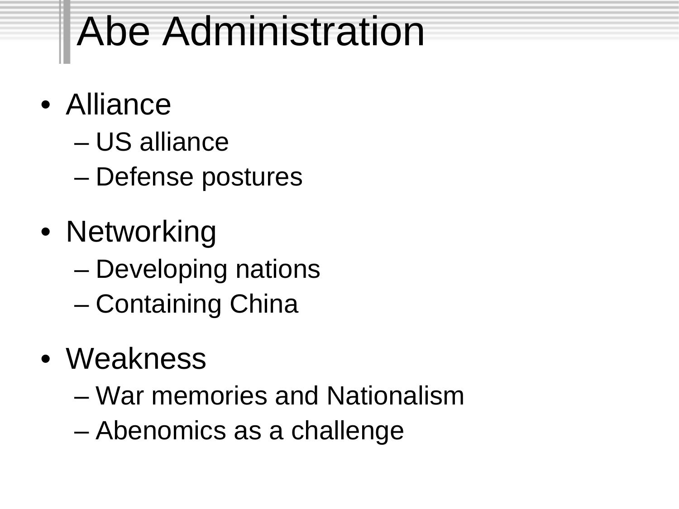# Abe Administration

- Alliance
	- US alliance
	- Defense postures
- Networking – Developing nations – Containing China
- Weakness
	- War memories and Nationalism
	- Abenomics as a challenge